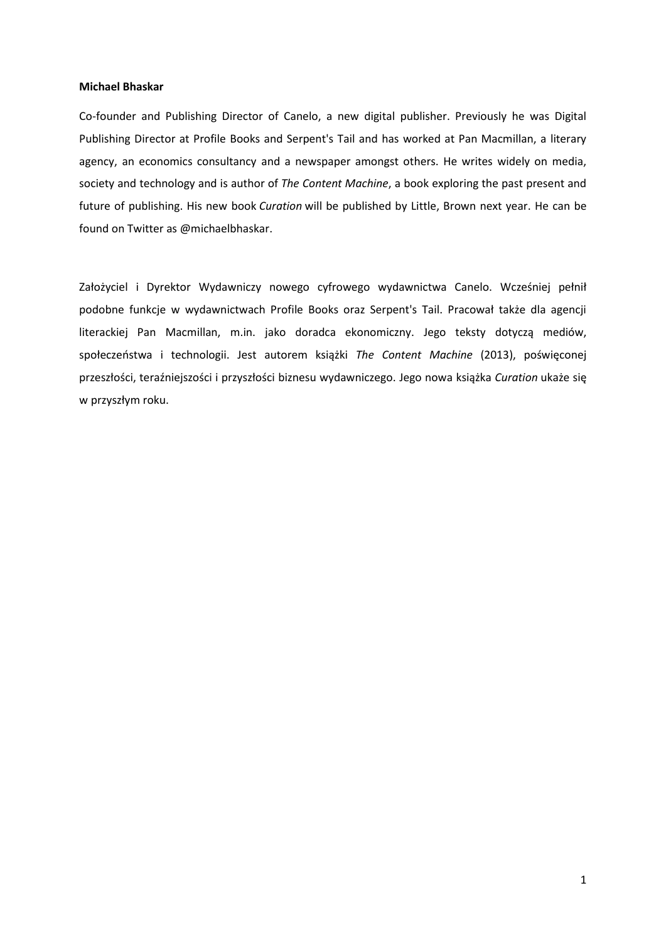#### **Michael Bhaskar**

Co-founder and Publishing Director of Canelo, a new digital publisher. Previously he was Digital Publishing Director at Profile Books and Serpent's Tail and has worked at Pan Macmillan, a literary agency, an economics consultancy and a newspaper amongst others. He writes widely on media, society and technology and is author of *The Content Machine*, a book exploring the past present and future of publishing. His new book *Curation* will be published by Little, Brown next year. He can be found on Twitter as @michaelbhaskar.

Założyciel i Dyrektor Wydawniczy nowego cyfrowego wydawnictwa Canelo. Wcześniej pełnił podobne funkcje w wydawnictwach Profile Books oraz Serpent's Tail. Pracował także dla agencji literackiej Pan Macmillan, m.in. jako doradca ekonomiczny. Jego teksty dotyczą mediów, społeczeństwa i technologii. Jest autorem książki *The Content Machine* (2013), poświęconej przeszłości, teraźniejszości i przyszłości biznesu wydawniczego. Jego nowa książka *Curation* ukaże się w przyszłym roku.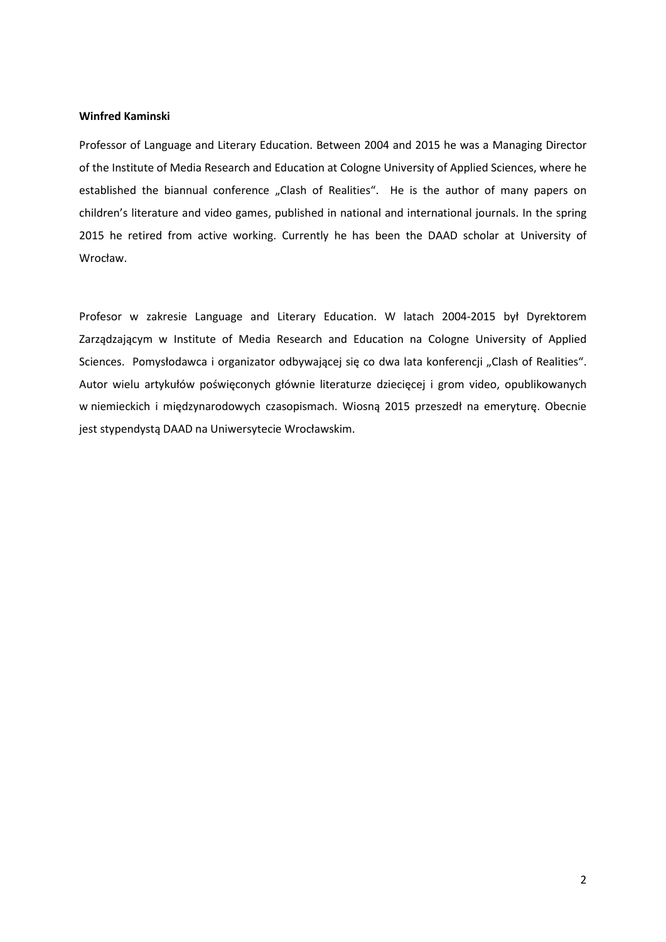# **Winfred Kaminski**

Professor of Language and Literary Education. Between 2004 and 2015 he was a Managing Director of the Institute of Media Research and Education at Cologne University of Applied Sciences, where he established the biannual conference "Clash of Realities". He is the author of many papers on children's literature and video games, published in national and international journals. In the spring 2015 he retired from active working. Currently he has been the DAAD scholar at University of Wrocław.

Profesor w zakresie Language and Literary Education. W latach 2004-2015 był Dyrektorem Zarządzającym w Institute of Media Research and Education na Cologne University of Applied Sciences. Pomysłodawca i organizator odbywającej się co dwa lata konferencji "Clash of Realities". Autor wielu artykułów poświęconych głównie literaturze dziecięcej i grom video, opublikowanych w niemieckich i międzynarodowych czasopismach. Wiosną 2015 przeszedł na emeryturę. Obecnie jest stypendystą DAAD na Uniwersytecie Wrocławskim.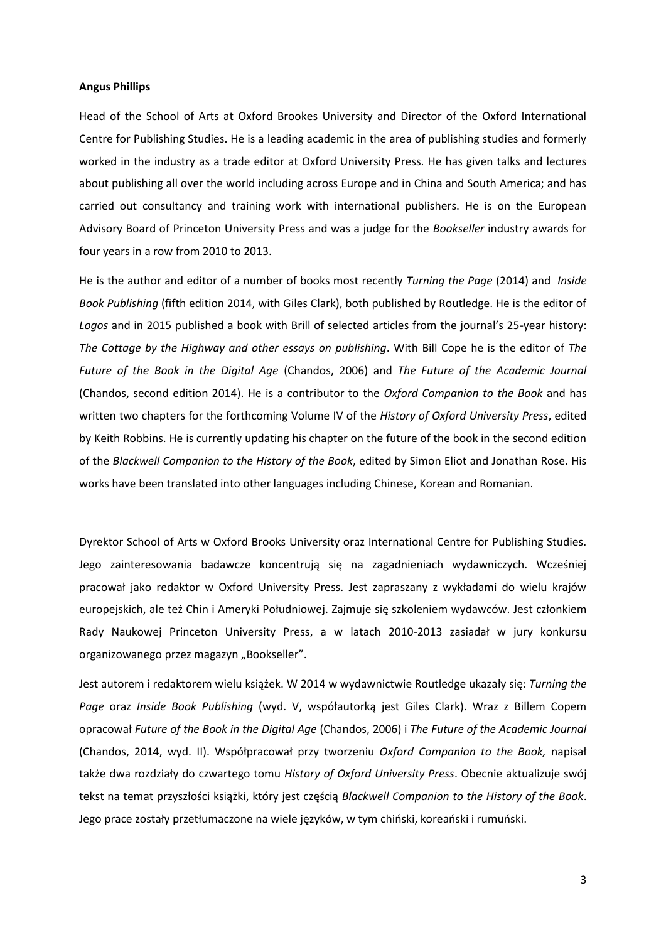### **Angus Phillips**

Head of the School of Arts at Oxford Brookes University and Director of the Oxford International Centre for Publishing Studies. He is a leading academic in the area of publishing studies and formerly worked in the industry as a trade editor at Oxford University Press. He has given talks and lectures about publishing all over the world including across Europe and in China and South America; and has carried out consultancy and training work with international publishers. He is on the European Advisory Board of Princeton University Press and was a judge for the *Bookseller* industry awards for four years in a row from 2010 to 2013.

He is the author and editor of a number of books most recently *Turning the Page* (2014) and *Inside Book Publishing* (fifth edition 2014, with Giles Clark), both published by Routledge. He is the editor of *Logos* and in 2015 published a book with Brill of selected articles from the journal's 25-year history: *The Cottage by the Highway and other essays on publishing*. With Bill Cope he is the editor of *The Future of the Book in the Digital Age* (Chandos, 2006) and *The Future of the Academic Journal*  (Chandos, second edition 2014). He is a contributor to the *Oxford Companion to the Book* and has written two chapters for the forthcoming Volume IV of the *History of Oxford University Press*, edited by Keith Robbins. He is currently updating his chapter on the future of the book in the second edition of the *Blackwell [Companion to the History of the Book](http://www.blackwellpublishing.com/book.asp?ref=9781405127653)*, edited by Simon Eliot and Jonathan Rose. His works have been translated into other languages including Chinese, Korean and Romanian.

Dyrektor School of Arts w Oxford Brooks University oraz International Centre for Publishing Studies. Jego zainteresowania badawcze koncentrują się na zagadnieniach wydawniczych. Wcześniej pracował jako redaktor w Oxford University Press. Jest zapraszany z wykładami do wielu krajów europejskich, ale też Chin i Ameryki Południowej. Zajmuje się szkoleniem wydawców. Jest członkiem Rady Naukowej Princeton University Press, a w latach 2010-2013 zasiadał w jury konkursu organizowanego przez magazyn "Bookseller".

Jest autorem i redaktorem wielu książek. W 2014 w wydawnictwie Routledge ukazały się: *Turning the Page* oraz *Inside Book Publishing* (wyd. V, współautorką jest Giles Clark). Wraz z Billem Copem opracował *Future of the Book in the Digital Age* (Chandos, 2006) i *The Future of the Academic Journal*  (Chandos, 2014, wyd. II). Współpracował przy tworzeniu *Oxford Companion to the Book,* napisał także dwa rozdziały do czwartego tomu *History of Oxford University Press*. Obecnie aktualizuje swój tekst na temat przyszłości książki, który jest częścią *Blackwell [Companion to the History of the Book](http://www.blackwellpublishing.com/book.asp?ref=9781405127653)*. Jego prace zostały przetłumaczone na wiele języków, w tym chiński, koreański i rumuński.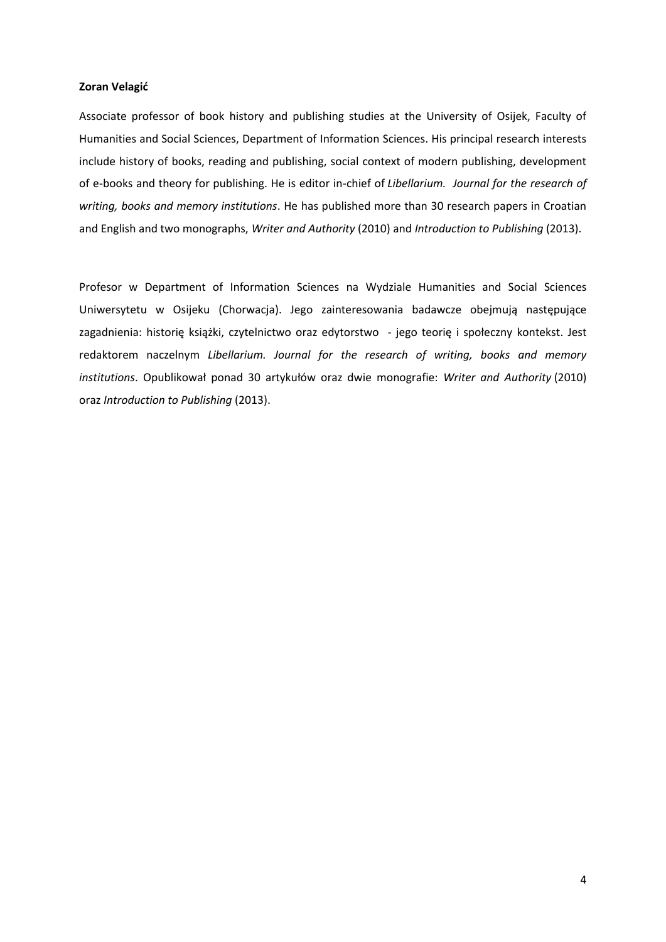# **Zoran Velagić**

Associate professor of book history and publishing studies at the University of Osijek, Faculty of Humanities and Social Sciences, Department of Information Sciences. His principal research interests include history of books, reading and publishing, social context of modern publishing, development of e-books and theory for publishing. He is editor in-chief of *Libellarium. Journal for the research of writing, books and memory institutions*. He has published more than 30 research papers in Croatian and English and two monographs, *Writer and Authority* (2010) and *Introduction to Publishing* (2013).

Profesor w Department of Information Sciences na Wydziale Humanities and Social Sciences Uniwersytetu w Osijeku (Chorwacja). Jego zainteresowania badawcze obejmują następujące zagadnienia: historię książki, czytelnictwo oraz edytorstwo - jego teorię i społeczny kontekst. Jest redaktorem naczelnym *Libellarium. Journal for the research of writing, books and memory institutions*. Opublikował ponad 30 artykułów oraz dwie monografie: *Writer and Authority* (2010) oraz *Introduction to Publishing* (2013).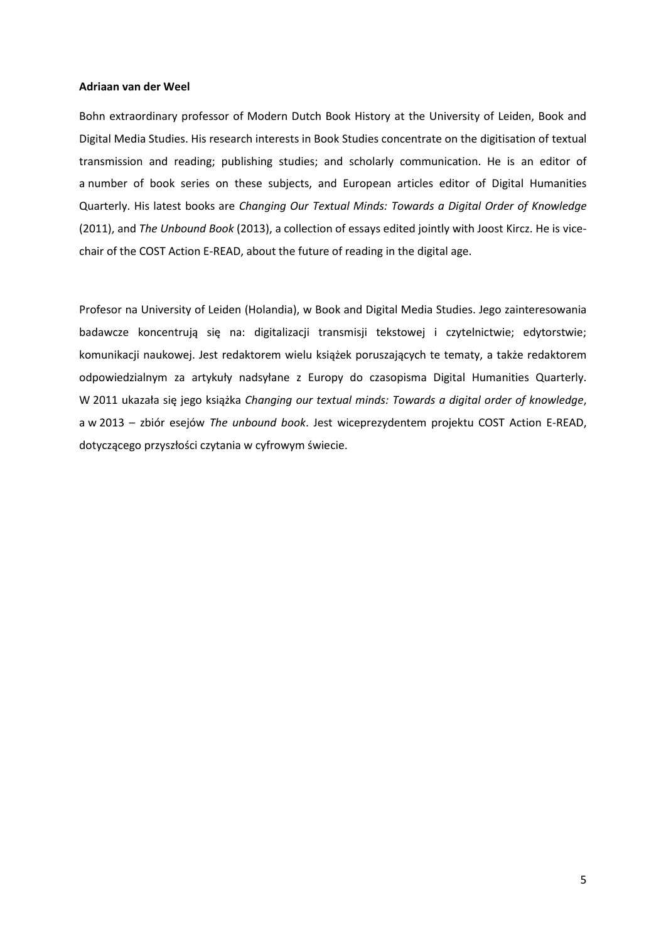### **Adriaan van der Weel**

Bohn extraordinary professor of Modern Dutch Book History at the University of Leiden, Book and Digital Media Studies. His research interests in Book Studies concentrate on the digitisation of textual transmission and reading; publishing studies; and scholarly communication. He is an editor of a number of book series on these subjects, and European articles editor of Digital Humanities Quarterly. His latest books are *Changing Our Textual Minds: Towards a Digital Order of Knowledge* (2011), and *The Unbound Book* (2013), a collection of essays edited jointly with Joost Kircz. He is vicechair of the COST Action E-READ, about the future of reading in the digital age.

Profesor na University of Leiden (Holandia), w Book and Digital Media Studies. Jego zainteresowania badawcze koncentrują się na: digitalizacji transmisji tekstowej i czytelnictwie; edytorstwie; komunikacji naukowej. Jest redaktorem wielu książek poruszających te tematy, a także redaktorem odpowiedzialnym za artykuły nadsyłane z Europy do czasopisma Digital Humanities Quarterly. W 2011 ukazała się jego książka *Changing our textual minds: Towards a digital order of knowledge*, a w 2013 – zbiór esejów *The unbound book*. Jest wiceprezydentem projektu COST Action E-READ, dotyczącego przyszłości czytania w cyfrowym świecie.